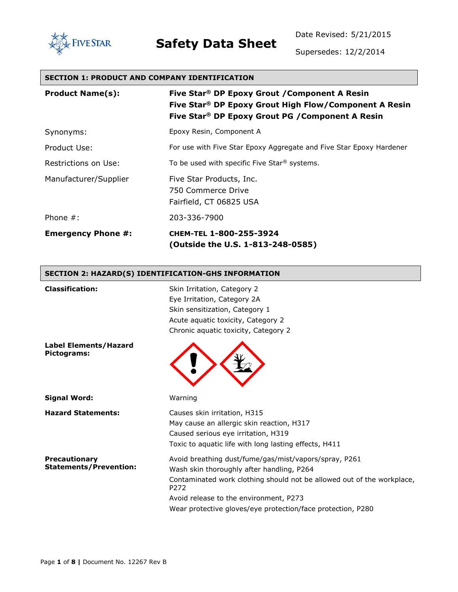

Date Revised: 5/21/2015

Supersedes: 12/2/2014

#### **SECTION 1: PRODUCT AND COMPANY IDENTIFICATION**

| <b>Product Name(s):</b>   | Five Star <sup>®</sup> DP Epoxy Grout / Component A Resin<br>Five Star <sup>®</sup> DP Epoxy Grout High Flow/Component A Resin<br>Five Star® DP Epoxy Grout PG / Component A Resin |
|---------------------------|------------------------------------------------------------------------------------------------------------------------------------------------------------------------------------|
| Synonyms:                 | Epoxy Resin, Component A                                                                                                                                                           |
| Product Use:              | For use with Five Star Epoxy Aggregate and Five Star Epoxy Hardener                                                                                                                |
| Restrictions on Use:      | To be used with specific Five Star <sup>®</sup> systems.                                                                                                                           |
| Manufacturer/Supplier     | Five Star Products, Inc.<br>750 Commerce Drive<br>Fairfield, CT 06825 USA                                                                                                          |
| Phone $#$ :               | 203-336-7900                                                                                                                                                                       |
| <b>Emergency Phone #:</b> | CHEM-TEL 1-800-255-3924<br>(Outside the U.S. 1-813-248-0585)                                                                                                                       |

#### **SECTION 2: HAZARD(S) IDENTIFICATION-GHS INFORMATION**

| <b>Classification:</b>                                | Skin Irritation, Category 2<br>Eye Irritation, Category 2A<br>Skin sensitization, Category 1<br>Acute aquatic toxicity, Category 2<br>Chronic aquatic toxicity, Category 2                                                                                                                                |
|-------------------------------------------------------|-----------------------------------------------------------------------------------------------------------------------------------------------------------------------------------------------------------------------------------------------------------------------------------------------------------|
| <b>Label Elements/Hazard</b><br>Pictograms:           |                                                                                                                                                                                                                                                                                                           |
| <b>Signal Word:</b>                                   | Warning                                                                                                                                                                                                                                                                                                   |
| <b>Hazard Statements:</b>                             | Causes skin irritation, H315<br>May cause an allergic skin reaction, H317<br>Caused serious eye irritation, H319<br>Toxic to aquatic life with long lasting effects, H411                                                                                                                                 |
| <b>Precautionary</b><br><b>Statements/Prevention:</b> | Avoid breathing dust/fume/gas/mist/vapors/spray, P261<br>Wash skin thoroughly after handling, P264<br>Contaminated work clothing should not be allowed out of the workplace,<br>P <sub>272</sub><br>Avoid release to the environment, P273<br>Wear protective gloves/eye protection/face protection, P280 |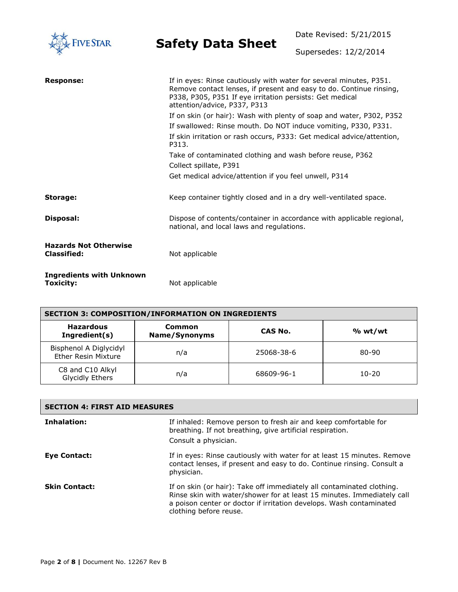| <b>IVE STAR</b>                                    |                                                                                                                                                                                                                                       | Date Revised: 5/21/2015 |
|----------------------------------------------------|---------------------------------------------------------------------------------------------------------------------------------------------------------------------------------------------------------------------------------------|-------------------------|
|                                                    | <b>Safety Data Sheet</b>                                                                                                                                                                                                              | Supersedes: 12/2/2014   |
| <b>Response:</b>                                   | If in eyes: Rinse cautiously with water for several minutes, P351.<br>Remove contact lenses, if present and easy to do. Continue rinsing,<br>P338, P305, P351 If eye irritation persists: Get medical<br>attention/advice, P337, P313 |                         |
|                                                    | If on skin (or hair): Wash with plenty of soap and water, P302, P352                                                                                                                                                                  |                         |
|                                                    | If swallowed: Rinse mouth. Do NOT induce vomiting, P330, P331.<br>If skin irritation or rash occurs, P333: Get medical advice/attention,<br>P313.                                                                                     |                         |
|                                                    | Take of contaminated clothing and wash before reuse, P362<br>Collect spillate, P391                                                                                                                                                   |                         |
|                                                    | Get medical advice/attention if you feel unwell, P314                                                                                                                                                                                 |                         |
| Storage:                                           | Keep container tightly closed and in a dry well-ventilated space.                                                                                                                                                                     |                         |
| Disposal:                                          | Dispose of contents/container in accordance with applicable regional,<br>national, and local laws and regulations.                                                                                                                    |                         |
| <b>Hazards Not Otherwise</b><br><b>Classified:</b> | Not applicable                                                                                                                                                                                                                        |                         |
| <b>Ingredients with Unknown</b><br>Toxicity:       | Not applicable                                                                                                                                                                                                                        |                         |

| <b>SECTION 3: COMPOSITION/INFORMATION ON INGREDIENTS</b> |                         |            |         |
|----------------------------------------------------------|-------------------------|------------|---------|
| <b>Hazardous</b><br>Ingredient(s)                        | Common<br>Name/Synonyms | CAS No.    | % wt/wt |
| Bisphenol A Diglycidyl<br><b>Ether Resin Mixture</b>     | n/a                     | 25068-38-6 | 80-90   |
| C8 and C10 Alkyl<br>Glycidly Ethers                      | n/a                     | 68609-96-1 | 10-20   |

| <b>SECTION 4: FIRST AID MEASURES</b> |                                                                                                                                                                                                                                                  |  |
|--------------------------------------|--------------------------------------------------------------------------------------------------------------------------------------------------------------------------------------------------------------------------------------------------|--|
| Inhalation:                          | If inhaled: Remove person to fresh air and keep comfortable for<br>breathing. If not breathing, give artificial respiration.<br>Consult a physician.                                                                                             |  |
| <b>Eve Contact:</b>                  | If in eyes: Rinse cautiously with water for at least 15 minutes. Remove<br>contact lenses, if present and easy to do. Continue rinsing. Consult a<br>physician.                                                                                  |  |
| <b>Skin Contact:</b>                 | If on skin (or hair): Take off immediately all contaminated clothing.<br>Rinse skin with water/shower for at least 15 minutes. Immediately call<br>a poison center or doctor if irritation develops. Wash contaminated<br>clothing before reuse. |  |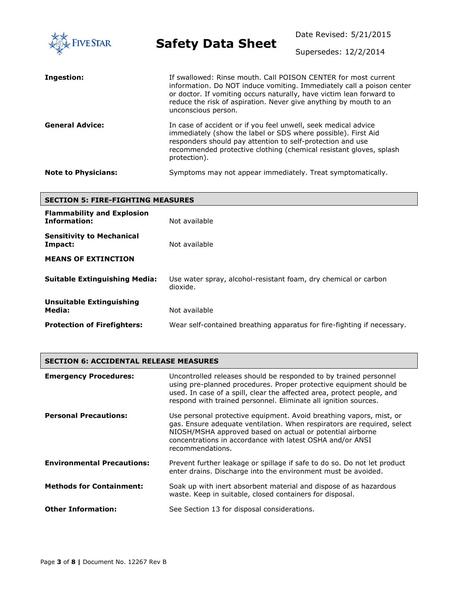| <b>FIVE STAR</b>           | <b>Safety Data Sheet</b>                                                                                                                                                                                                                                                                                    | Date Revised: 5/21/2015<br>Supersedes: 12/2/2014 |
|----------------------------|-------------------------------------------------------------------------------------------------------------------------------------------------------------------------------------------------------------------------------------------------------------------------------------------------------------|--------------------------------------------------|
| Ingestion:                 | If swallowed: Rinse mouth. Call POISON CENTER for most current<br>information. Do NOT induce vomiting. Immediately call a poison center<br>or doctor. If vomiting occurs naturally, have victim lean forward to<br>reduce the risk of aspiration. Never give anything by mouth to an<br>unconscious person. |                                                  |
| <b>General Advice:</b>     | In case of accident or if you feel unwell, seek medical advice<br>immediately (show the label or SDS where possible). First Aid<br>responders should pay attention to self-protection and use<br>recommended protective clothing (chemical resistant gloves, splash<br>protection).                         |                                                  |
| <b>Note to Physicians:</b> | Symptoms may not appear immediately. Treat symptomatically.                                                                                                                                                                                                                                                 |                                                  |

| <b>SECTION 5: FIRE-FIGHTING MEASURES</b>                 |                                                                             |  |
|----------------------------------------------------------|-----------------------------------------------------------------------------|--|
| <b>Flammability and Explosion</b><br><b>Information:</b> | Not available                                                               |  |
| <b>Sensitivity to Mechanical</b><br>Impact:              | Not available                                                               |  |
| <b>MEANS OF EXTINCTION</b>                               |                                                                             |  |
| <b>Suitable Extinguishing Media:</b>                     | Use water spray, alcohol-resistant foam, dry chemical or carbon<br>dioxide. |  |
| Unsuitable Extinguishing<br>Media:                       | Not available                                                               |  |
| <b>Protection of Firefighters:</b>                       | Wear self-contained breathing apparatus for fire-fighting if necessary.     |  |

| <b>SECTION 6: ACCIDENTAL RELEASE MEASURES</b> |  |
|-----------------------------------------------|--|
|                                               |  |

| <b>Emergency Procedures:</b>      | Uncontrolled releases should be responded to by trained personnel<br>using pre-planned procedures. Proper protective equipment should be<br>used. In case of a spill, clear the affected area, protect people, and<br>respond with trained personnel. Eliminate all ignition sources.        |
|-----------------------------------|----------------------------------------------------------------------------------------------------------------------------------------------------------------------------------------------------------------------------------------------------------------------------------------------|
| <b>Personal Precautions:</b>      | Use personal protective equipment. Avoid breathing vapors, mist, or<br>gas. Ensure adequate ventilation. When respirators are required, select<br>NIOSH/MSHA approved based on actual or potential airborne<br>concentrations in accordance with latest OSHA and/or ANSI<br>recommendations. |
| <b>Environmental Precautions:</b> | Prevent further leakage or spillage if safe to do so. Do not let product<br>enter drains. Discharge into the environment must be avoided.                                                                                                                                                    |
| <b>Methods for Containment:</b>   | Soak up with inert absorbent material and dispose of as hazardous<br>waste. Keep in suitable, closed containers for disposal.                                                                                                                                                                |
| <b>Other Information:</b>         | See Section 13 for disposal considerations.                                                                                                                                                                                                                                                  |

L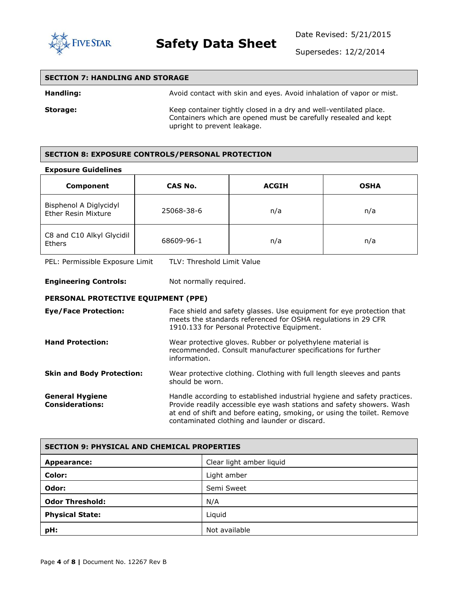

Date Revised: 5/21/2015

Supersedes: 12/2/2014

| <b>SECTION 7: HANDLING AND STORAGE</b> |                                                                                                                                                                     |
|----------------------------------------|---------------------------------------------------------------------------------------------------------------------------------------------------------------------|
| Handling:                              | Avoid contact with skin and eyes. Avoid inhalation of vapor or mist.                                                                                                |
| Storage:                               | Keep container tightly closed in a dry and well-ventilated place.<br>Containers which are opened must be carefully resealed and kept<br>upright to prevent leakage. |

#### **SECTION 8: EXPOSURE CONTROLS/PERSONAL PROTECTION**

#### **Exposure Guidelines**

| Component                                            | CAS No.    | <b>ACGIH</b> | <b>OSHA</b> |
|------------------------------------------------------|------------|--------------|-------------|
| Bisphenol A Diglycidyl<br><b>Ether Resin Mixture</b> | 25068-38-6 | n/a          | n/a         |
| C8 and C10 Alkyl Glycidil<br><b>Ethers</b>           | 68609-96-1 | n/a          | n/a         |

PEL: Permissible Exposure Limit TLV: Threshold Limit Value

#### **Engineering Controls:** Not normally required.

#### **PERSONAL PROTECTIVE EQUIPMENT (PPE)**

| <b>Eye/Face Protection:</b>                      | Face shield and safety glasses. Use equipment for eye protection that<br>meets the standards referenced for OSHA regulations in 29 CFR<br>1910.133 for Personal Protective Equipment.                                                                                         |
|--------------------------------------------------|-------------------------------------------------------------------------------------------------------------------------------------------------------------------------------------------------------------------------------------------------------------------------------|
| <b>Hand Protection:</b>                          | Wear protective gloves. Rubber or polyethylene material is<br>recommended. Consult manufacturer specifications for further<br>information.                                                                                                                                    |
| <b>Skin and Body Protection:</b>                 | Wear protective clothing. Clothing with full length sleeves and pants<br>should be worn.                                                                                                                                                                                      |
| <b>General Hygiene</b><br><b>Considerations:</b> | Handle according to established industrial hygiene and safety practices.<br>Provide readily accessible eye wash stations and safety showers. Wash<br>at end of shift and before eating, smoking, or using the toilet. Remove<br>contaminated clothing and launder or discard. |

| <b>SECTION 9: PHYSICAL AND CHEMICAL PROPERTIES</b> |                          |
|----------------------------------------------------|--------------------------|
| Appearance:                                        | Clear light amber liquid |
| Color:                                             | Light amber              |
| Odor:                                              | Semi Sweet               |
| <b>Odor Threshold:</b>                             | N/A                      |
| <b>Physical State:</b>                             | Liquid                   |
| pH:                                                | Not available            |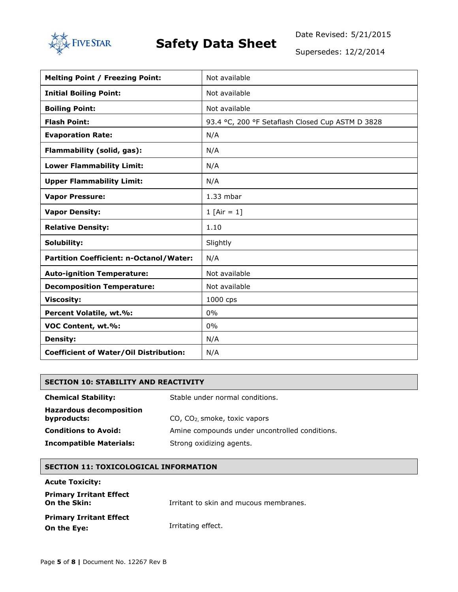

Date Revised: 5/21/2015

Supersedes: 12/2/2014

| <b>Melting Point / Freezing Point:</b>        | Not available                                    |
|-----------------------------------------------|--------------------------------------------------|
| <b>Initial Boiling Point:</b>                 | Not available                                    |
| <b>Boiling Point:</b>                         | Not available                                    |
| <b>Flash Point:</b>                           | 93.4 °C, 200 °F Setaflash Closed Cup ASTM D 3828 |
| <b>Evaporation Rate:</b>                      | N/A                                              |
| Flammability (solid, gas):                    | N/A                                              |
| <b>Lower Flammability Limit:</b>              | N/A                                              |
| <b>Upper Flammability Limit:</b>              | N/A                                              |
| <b>Vapor Pressure:</b>                        | $1.33$ mbar                                      |
| <b>Vapor Density:</b>                         | 1 $[Air = 1]$                                    |
| <b>Relative Density:</b>                      | 1.10                                             |
| Solubility:                                   | Slightly                                         |
| Partition Coefficient: n-Octanol/Water:       | N/A                                              |
| <b>Auto-ignition Temperature:</b>             | Not available                                    |
| <b>Decomposition Temperature:</b>             | Not available                                    |
| <b>Viscosity:</b>                             | 1000 cps                                         |
| Percent Volatile, wt.%:                       | 0%                                               |
| VOC Content, wt.%:                            | $0\%$                                            |
| <b>Density:</b>                               | N/A                                              |
| <b>Coefficient of Water/Oil Distribution:</b> | N/A                                              |

#### **SECTION 10: STABILITY AND REACTIVITY**

| <b>Chemical Stability:</b>                    | Stable under normal conditions.                |
|-----------------------------------------------|------------------------------------------------|
| <b>Hazardous decomposition</b><br>byproducts: | $CO$ , $CO2$ smoke, toxic vapors               |
| <b>Conditions to Avoid:</b>                   | Amine compounds under uncontrolled conditions. |
| <b>Incompatible Materials:</b>                | Strong oxidizing agents.                       |

#### **SECTION 11: TOXICOLOGICAL INFORMATION**

#### **Acute Toxicity:**

| <b>Primary Irritant Effect</b><br>On the Skin: | Irritant to skin and mucous membranes. |
|------------------------------------------------|----------------------------------------|
| <b>Primary Irritant Effect</b><br>On the Eye:  | Irritating effect.                     |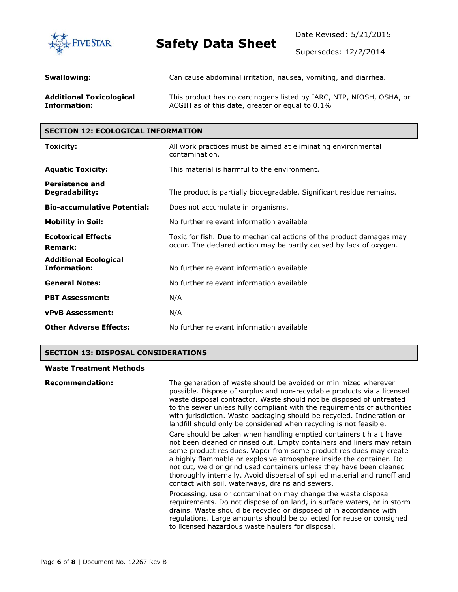

Date Revised: 5/21/2015

Supersedes: 12/2/2014

| Swallowing:                     | Can cause abdominal irritation, nausea, vomiting, and diarrhea.      |
|---------------------------------|----------------------------------------------------------------------|
| <b>Additional Toxicological</b> | This product has no carcinogens listed by IARC, NTP, NIOSH, OSHA, or |
| Information:                    | ACGIH as of this date, greater or equal to 0.1%                      |

#### **SECTION 12: ECOLOGICAL INFORMATION**

| Toxicity:                                           | All work practices must be aimed at eliminating environmental<br>contamination.                                                            |
|-----------------------------------------------------|--------------------------------------------------------------------------------------------------------------------------------------------|
| <b>Aquatic Toxicity:</b>                            | This material is harmful to the environment.                                                                                               |
| <b>Persistence and</b><br>Degradability:            | The product is partially biodegradable. Significant residue remains.                                                                       |
| <b>Bio-accumulative Potential:</b>                  | Does not accumulate in organisms.                                                                                                          |
| <b>Mobility in Soil:</b>                            | No further relevant information available                                                                                                  |
| <b>Ecotoxical Effects</b><br><b>Remark:</b>         | Toxic for fish. Due to mechanical actions of the product damages may<br>occur. The declared action may be partly caused by lack of oxygen. |
| <b>Additional Ecological</b><br><b>Information:</b> | No further relevant information available                                                                                                  |
| <b>General Notes:</b>                               | No further relevant information available                                                                                                  |
| <b>PBT Assessment:</b>                              | N/A                                                                                                                                        |
| <b>vPvB Assessment:</b>                             | N/A                                                                                                                                        |
| <b>Other Adverse Effects:</b>                       | No further relevant information available                                                                                                  |

#### **SECTION 13: DISPOSAL CONSIDERATIONS**

#### **Waste Treatment Methods**

| <b>Recommendation:</b> | The generation of waste should be avoided or minimized wherever<br>possible. Dispose of surplus and non-recyclable products via a licensed<br>waste disposal contractor. Waste should not be disposed of untreated<br>to the sewer unless fully compliant with the requirements of authorities<br>with jurisdiction. Waste packaging should be recycled. Incineration or<br>landfill should only be considered when recycling is not feasible.                                                     |
|------------------------|----------------------------------------------------------------------------------------------------------------------------------------------------------------------------------------------------------------------------------------------------------------------------------------------------------------------------------------------------------------------------------------------------------------------------------------------------------------------------------------------------|
|                        | Care should be taken when handling emptied containers t h a t have<br>not been cleaned or rinsed out. Empty containers and liners may retain<br>some product residues. Vapor from some product residues may create<br>a highly flammable or explosive atmosphere inside the container. Do<br>not cut, weld or grind used containers unless they have been cleaned<br>thoroughly internally. Avoid dispersal of spilled material and runoff and<br>contact with soil, waterways, drains and sewers. |
|                        | Processing, use or contamination may change the waste disposal<br>requirements. Do not dispose of on land, in surface waters, or in storm<br>drains. Waste should be recycled or disposed of in accordance with<br>regulations. Large amounts should be collected for reuse or consigned<br>to licensed hazardous waste haulers for disposal.                                                                                                                                                      |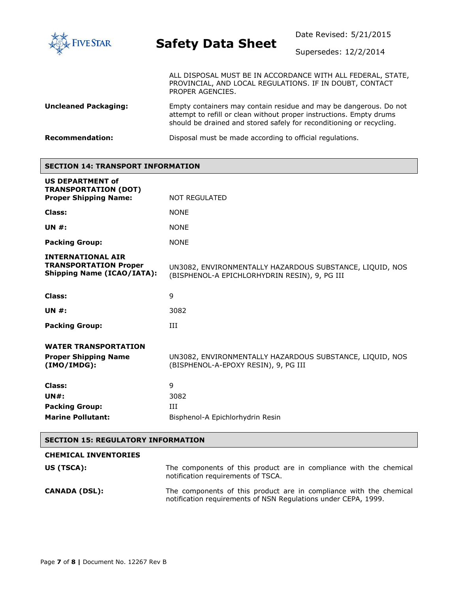

Supersedes: 12/2/2014

ALL DISPOSAL MUST BE IN ACCORDANCE WITH ALL FEDERAL, STATE, PROVINCIAL, AND LOCAL REGULATIONS. IF IN DOUBT, CONTACT PROPER AGENCIES.

**Uncleaned Packaging:** Empty containers may contain residue and may be dangerous. Do not attempt to refill or clean without proper instructions. Empty drums should be drained and stored safely for reconditioning or recycling.

**Recommendation:** Disposal must be made according to official regulations.

#### **SECTION 14: TRANSPORT INFORMATION**

| <b>US DEPARTMENT of</b><br><b>TRANSPORTATION (DOT)</b>                                        |                                                                                                           |
|-----------------------------------------------------------------------------------------------|-----------------------------------------------------------------------------------------------------------|
| <b>Proper Shipping Name:</b>                                                                  | <b>NOT REGULATED</b>                                                                                      |
| Class:                                                                                        | <b>NONE</b>                                                                                               |
| UN $#$ :                                                                                      | <b>NONE</b>                                                                                               |
| <b>Packing Group:</b>                                                                         | <b>NONE</b>                                                                                               |
| <b>INTERNATIONAL AIR</b><br><b>TRANSPORTATION Proper</b><br><b>Shipping Name (ICAO/IATA):</b> | UN3082, ENVIRONMENTALLY HAZARDOUS SUBSTANCE, LIQUID, NOS<br>(BISPHENOL-A EPICHLORHYDRIN RESIN), 9, PG III |
| Class:                                                                                        | 9                                                                                                         |
| <b>UN #:</b>                                                                                  | 3082                                                                                                      |
| <b>Packing Group:</b>                                                                         | Ш                                                                                                         |
| <b>WATER TRANSPORTATION</b><br><b>Proper Shipping Name</b><br>(IMO/IMDG):                     | UN3082, ENVIRONMENTALLY HAZARDOUS SUBSTANCE, LIQUID, NOS<br>(BISPHENOL-A-EPOXY RESIN), 9, PG III          |
| Class:<br>UN#:<br><b>Packing Group:</b><br><b>Marine Pollutant:</b>                           | 9<br>3082<br>ИI<br>Bisphenol-A Epichlorhydrin Resin                                                       |

#### **SECTION 15: REGULATORY INFORMATION**

| <b>CHEMICAL INVENTORIES</b> |                                                                                                                                      |
|-----------------------------|--------------------------------------------------------------------------------------------------------------------------------------|
| US (TSCA):                  | The components of this product are in compliance with the chemical<br>notification requirements of TSCA.                             |
| <b>CANADA (DSL):</b>        | The components of this product are in compliance with the chemical<br>notification requirements of NSN Requlations under CEPA, 1999. |